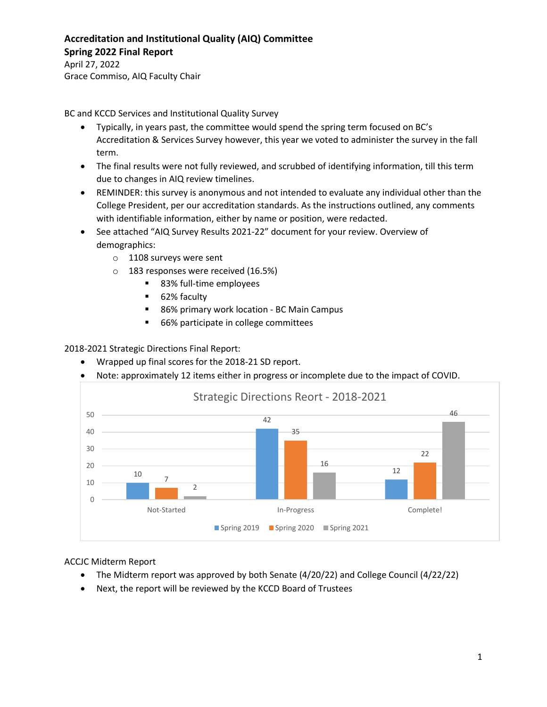## **Accreditation and Institutional Quality (AIQ) Committee Spring 2022 Final Report**

April 27, 2022 Grace Commiso, AIQ Faculty Chair

BC and KCCD Services and Institutional Quality Survey

- Typically, in years past, the committee would spend the spring term focused on BC's Accreditation & Services Survey however, this year we voted to administer the survey in the fall term.
- The final results were not fully reviewed, and scrubbed of identifying information, till this term due to changes in AIQ review timelines.
- REMINDER: this survey is anonymous and not intended to evaluate any individual other than the College President, per our accreditation standards. As the instructions outlined, any comments with identifiable information, either by name or position, were redacted.
- See attached "AIQ Survey Results 2021-22" document for your review. Overview of demographics:
	- o 1108 surveys were sent
	- o 183 responses were received (16.5%)
		- 83% full-time employees
		- 62% faculty
		- 86% primary work location BC Main Campus
		- **66%** participate in college committees

2018-2021 Strategic Directions Final Report:

- Wrapped up final scores for the 2018-21 SD report.
- Note: approximately 12 items either in progress or incomplete due to the impact of COVID.



ACCJC Midterm Report

- The Midterm report was approved by both Senate (4/20/22) and College Council (4/22/22)
- Next, the report will be reviewed by the KCCD Board of Trustees